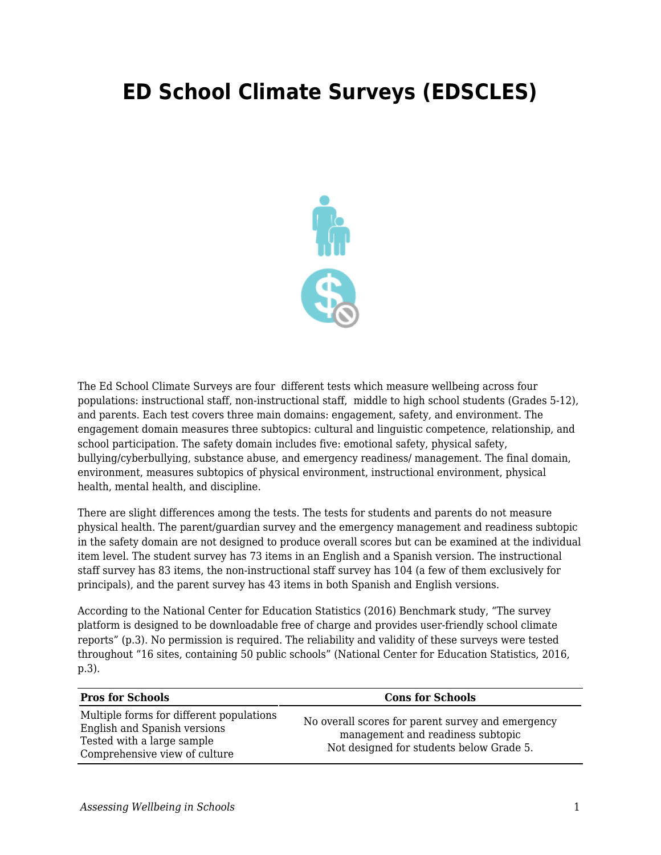## **ED School Climate Surveys (EDSCLES)**



The Ed School Climate Surveys are four different tests which measure wellbeing across four populations: instructional staff, non-instructional staff, middle to high school students (Grades 5-12), and parents. Each test covers three main domains: engagement, safety, and environment. The engagement domain measures three subtopics: cultural and linguistic competence, relationship, and school participation. The safety domain includes five: emotional safety, physical safety, bullying/cyberbullying, substance abuse, and emergency readiness/ management. The final domain, environment, measures subtopics of physical environment, instructional environment, physical health, mental health, and discipline.

There are slight differences among the tests. The tests for students and parents do not measure physical health. The parent/guardian survey and the emergency management and readiness subtopic in the safety domain are not designed to produce overall scores but can be examined at the individual item level. The student survey has 73 items in an English and a Spanish version. The instructional staff survey has 83 items, the non-instructional staff survey has 104 (a few of them exclusively for principals), and the parent survey has 43 items in both Spanish and English versions.

According to the National Center for Education Statistics (2016) Benchmark study, "The survey platform is designed to be downloadable free of charge and provides user-friendly school climate reports" (p.3). No permission is required. The reliability and validity of these surveys were tested throughout "16 sites, containing 50 public schools" (National Center for Education Statistics, 2016, p.3).

| <b>Pros for Schools</b>                                                                                                                 | <b>Cons for Schools</b>                                                                                                            |
|-----------------------------------------------------------------------------------------------------------------------------------------|------------------------------------------------------------------------------------------------------------------------------------|
| Multiple forms for different populations<br>English and Spanish versions<br>Tested with a large sample<br>Comprehensive view of culture | No overall scores for parent survey and emergency<br>management and readiness subtopic<br>Not designed for students below Grade 5. |